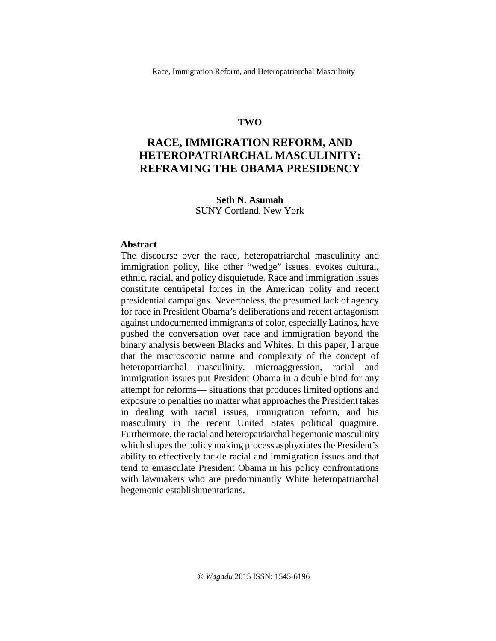## **TWO**

# **RACE, IMMIGRATION REFORM, AND HETEROPATRIARCHAL MASCULINITY: REFRAMING THE OBAMA PRESIDENCY**

### **Seth N. Asumah** SUNY Cortland, New York

#### **Abstract**

The discourse over the race, heteropatriarchal masculinity and immigration policy, like other "wedge" issues, evokes cultural, ethnic, racial, and policy disquietude. Race and immigration issues constitute centripetal forces in the American polity and recent presidential campaigns. Nevertheless, the presumed lack of agency for race in President Obama's deliberations and recent antagonism against undocumented immigrants of color, especially Latinos, have pushed the conversation over race and immigration beyond the binary analysis between Blacks and Whites. In this paper, I argue that the macroscopic nature and complexity of the concept of heteropatriarchal masculinity, microaggression, racial and immigration issues put President Obama in a double bind for any attempt for reforms— situations that produces limited options and exposure to penalties no matter what approaches the President takes in dealing with racial issues, immigration reform, and his masculinity in the recent United States political quagmire. Furthermore, the racial and heteropatriarchal hegemonic masculinity which shapes the policy making process asphyxiates the President's ability to effectively tackle racial and immigration issues and that tend to emasculate President Obama in his policy confrontations with lawmakers who are predominantly White heteropatriarchal hegemonic establishmentarians.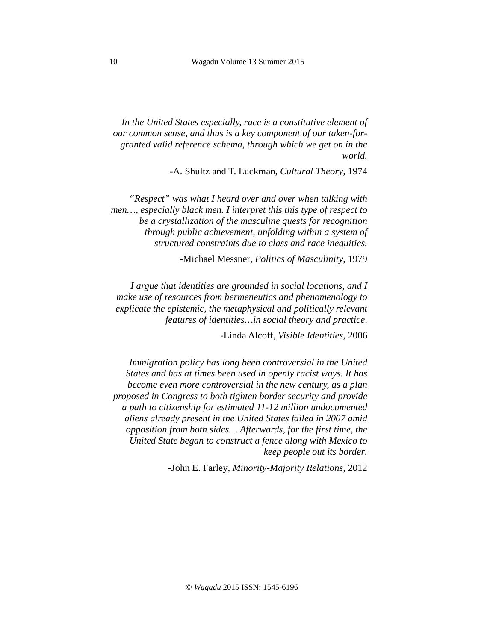*In the United States especially, race is a constitutive element of our common sense, and thus is a key component of our taken-forgranted valid reference schema, through which we get on in the world.* 

-A. Shultz and T. Luckman, *Cultural Theory,* 1974

 *"Respect" was what I heard over and over when talking with men…, especially black men. I interpret this this type of respect to be a crystallization of the masculine quests for recognition through public achievement, unfolding within a system of structured constraints due to class and race inequities.* 

-Michael Messner, *Politics of Masculinity,* 1979

*I argue that identities are grounded in social locations, and I make use of resources from hermeneutics and phenomenology to explicate the epistemic, the metaphysical and politically relevant features of identities…in social theory and practice*.

-Linda Alcoff, *Visible Identities,* 2006

*Immigration policy has long been controversial in the United States and has at times been used in openly racist ways. It has become even more controversial in the new century, as a plan proposed in Congress to both tighten border security and provide a path to citizenship for estimated 11-12 million undocumented aliens already present in the United States failed in 2007 amid opposition from both sides… Afterwards, for the first time, the United State began to construct a fence along with Mexico to keep people out its border.* 

-John E. Farley, *Minority-Majority Relations,* 2012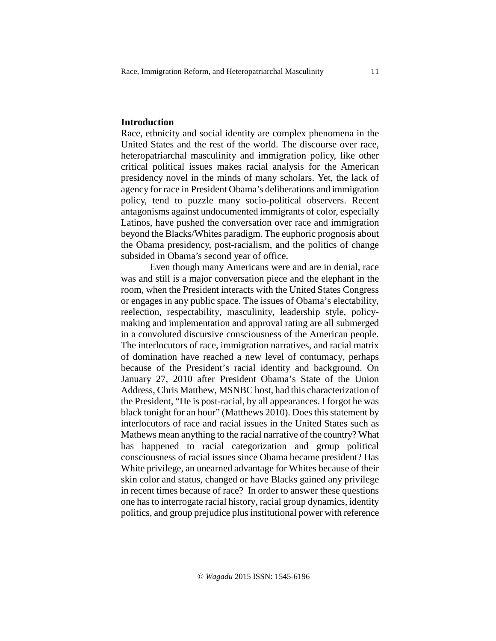## **Introduction**

Race, ethnicity and social identity are complex phenomena in the United States and the rest of the world. The discourse over race, heteropatriarchal masculinity and immigration policy, like other critical political issues makes racial analysis for the American presidency novel in the minds of many scholars. Yet, the lack of agency for race in President Obama's deliberations and immigration policy, tend to puzzle many socio-political observers. Recent antagonisms against undocumented immigrants of color, especially Latinos, have pushed the conversation over race and immigration beyond the Blacks/Whites paradigm. The euphoric prognosis about the Obama presidency, post-racialism, and the politics of change subsided in Obama's second year of office.

Even though many Americans were and are in denial, race was and still is a major conversation piece and the elephant in the room, when the President interacts with the United States Congress or engages in any public space. The issues of Obama's electability, reelection, respectability, masculinity, leadership style, policymaking and implementation and approval rating are all submerged in a convoluted discursive consciousness of the American people. The interlocutors of race, immigration narratives, and racial matrix of domination have reached a new level of contumacy, perhaps because of the President's racial identity and background. On January 27, 2010 after President Obama's State of the Union Address, Chris Matthew, MSNBC host, had this characterization of the President, "He is post-racial, by all appearances. I forgot he was black tonight for an hour" (Matthews 2010). Does this statement by interlocutors of race and racial issues in the United States such as Mathews mean anything to the racial narrative of the country? What has happened to racial categorization and group political consciousness of racial issues since Obama became president? Has White privilege, an unearned advantage for Whites because of their skin color and status, changed or have Blacks gained any privilege in recent times because of race? In order to answer these questions one has to interrogate racial history, racial group dynamics, identity politics, and group prejudice plus institutional power with reference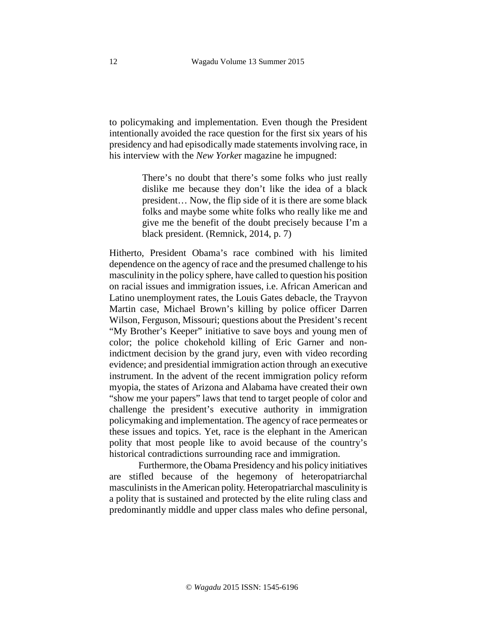to policymaking and implementation. Even though the President intentionally avoided the race question for the first six years of his presidency and had episodically made statements involving race, in his interview with the *New Yorke*r magazine he impugned:

> There's no doubt that there's some folks who just really dislike me because they don't like the idea of a black president… Now, the flip side of it is there are some black folks and maybe some white folks who really like me and give me the benefit of the doubt precisely because I'm a black president. (Remnick, 2014, p. 7)

Hitherto, President Obama's race combined with his limited dependence on the agency of race and the presumed challenge to his masculinity in the policy sphere, have called to question his position on racial issues and immigration issues, i.e. African American and Latino unemployment rates, the Louis Gates debacle, the Trayvon Martin case, Michael Brown's killing by police officer Darren Wilson, Ferguson, Missouri; questions about the President's recent "My Brother's Keeper" initiative to save boys and young men of color; the police chokehold killing of Eric Garner and nonindictment decision by the grand jury, even with video recording evidence; and presidential immigration action through an executive instrument. In the advent of the recent immigration policy reform myopia, the states of Arizona and Alabama have created their own "show me your papers" laws that tend to target people of color and challenge the president's executive authority in immigration policymaking and implementation. The agency of race permeates or these issues and topics. Yet, race is the elephant in the American polity that most people like to avoid because of the country's historical contradictions surrounding race and immigration.

Furthermore, the Obama Presidency and his policy initiatives are stifled because of the hegemony of heteropatriarchal masculinists in the American polity. Heteropatriarchal masculinity is a polity that is sustained and protected by the elite ruling class and predominantly middle and upper class males who define personal,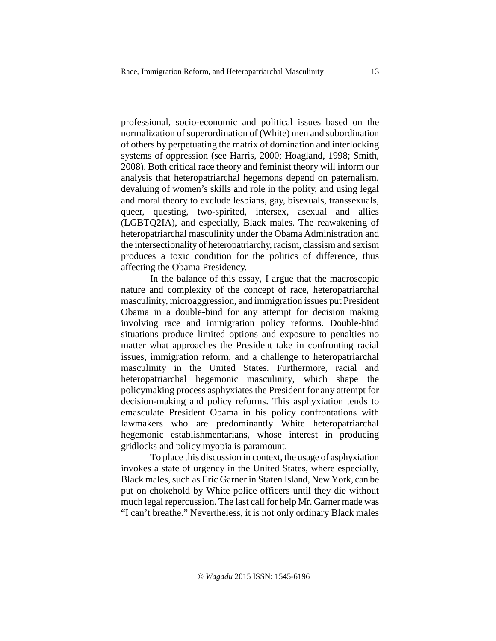professional, socio-economic and political issues based on the normalization of superordination of (White) men and subordination of others by perpetuating the matrix of domination and interlocking systems of oppression (see Harris, 2000; Hoagland, 1998; Smith, 2008). Both critical race theory and feminist theory will inform our analysis that heteropatriarchal hegemons depend on paternalism, devaluing of women's skills and role in the polity, and using legal and moral theory to exclude lesbians, gay, bisexuals, transsexuals, queer, questing, two-spirited, intersex, asexual and allies (LGBTQ2IA), and especially, Black males. The reawakening of heteropatriarchal masculinity under the Obama Administration and the intersectionality of heteropatriarchy, racism, classism and sexism produces a toxic condition for the politics of difference, thus affecting the Obama Presidency.

In the balance of this essay, I argue that the macroscopic nature and complexity of the concept of race, heteropatriarchal masculinity, microaggression, and immigration issues put President Obama in a double-bind for any attempt for decision making involving race and immigration policy reforms. Double-bind situations produce limited options and exposure to penalties no matter what approaches the President take in confronting racial issues, immigration reform, and a challenge to heteropatriarchal masculinity in the United States. Furthermore, racial and heteropatriarchal hegemonic masculinity, which shape the policymaking process asphyxiates the President for any attempt for decision-making and policy reforms. This asphyxiation tends to emasculate President Obama in his policy confrontations with lawmakers who are predominantly White heteropatriarchal hegemonic establishmentarians, whose interest in producing gridlocks and policy myopia is paramount.

To place this discussion in context, the usage of asphyxiation invokes a state of urgency in the United States, where especially, Black males, such as Eric Garner in Staten Island, New York, can be put on chokehold by White police officers until they die without much legal repercussion. The last call for help Mr. Garner made was "I can't breathe." Nevertheless, it is not only ordinary Black males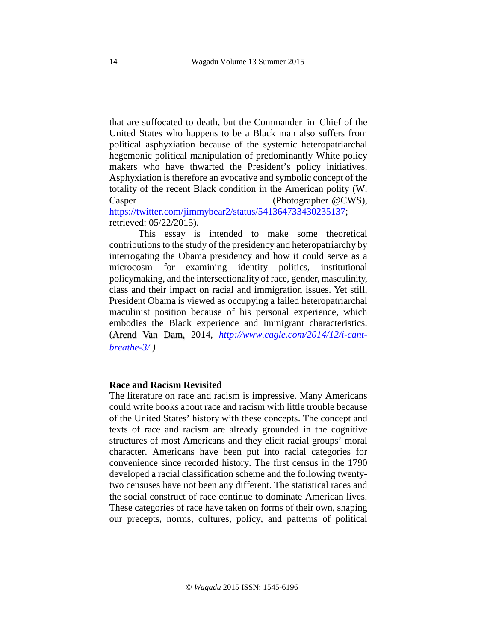that are suffocated to death, but the Commander–in–Chief of the United States who happens to be a Black man also suffers from political asphyxiation because of the systemic heteropatriarchal hegemonic political manipulation of predominantly White policy makers who have thwarted the President's policy initiatives. Asphyxiation is therefore an evocative and symbolic concept of the totality of the recent Black condition in the American polity (W. Casper (Photographer-@CWS),

[https://twitter.com/jimmybear2/status/541364733430235137;](https://twitter.com/jimmybear2/status/541364733430235137) retrieved: 05/22/2015).

This essay is intended to make some theoretical contributions to the study of the presidency and heteropatriarchy by interrogating the Obama presidency and how it could serve as a microcosm for examining identity politics, institutional policymaking, and the intersectionality of race, gender, masculinity, class and their impact on racial and immigration issues. Yet still, President Obama is viewed as occupying a failed heteropatriarchal maculinist position because of his personal experience, which embodies the Black experience and immigrant characteristics. (Arend Van Dam, 2014, *[http://www.cagle.com/2014/12/i-cant](http://www.cagle.com/2014/12/i-cant-breathe-3/)[breathe-3/](http://www.cagle.com/2014/12/i-cant-breathe-3/) )*

### **Race and Racism Revisited**

The literature on race and racism is impressive. Many Americans could write books about race and racism with little trouble because of the United States' history with these concepts. The concept and texts of race and racism are already grounded in the cognitive structures of most Americans and they elicit racial groups' moral character. Americans have been put into racial categories for convenience since recorded history. The first census in the 1790 developed a racial classification scheme and the following twentytwo censuses have not been any different. The statistical races and the social construct of race continue to dominate American lives. These categories of race have taken on forms of their own, shaping our precepts, norms, cultures, policy, and patterns of political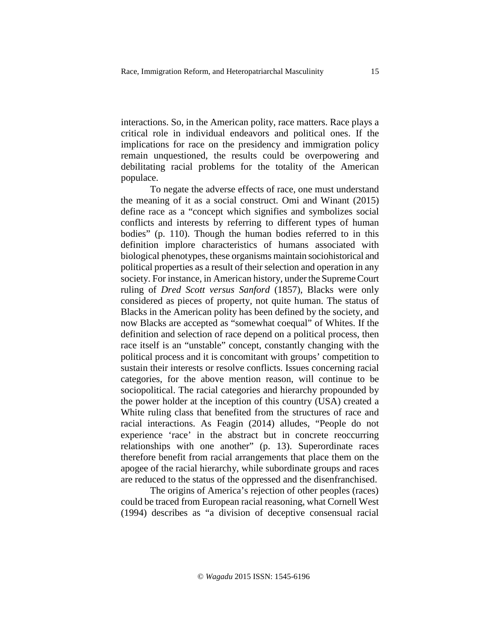interactions. So, in the American polity, race matters. Race plays a critical role in individual endeavors and political ones. If the implications for race on the presidency and immigration policy remain unquestioned, the results could be overpowering and debilitating racial problems for the totality of the American populace.

To negate the adverse effects of race, one must understand the meaning of it as a social construct. Omi and Winant (2015) define race as a "concept which signifies and symbolizes social conflicts and interests by referring to different types of human bodies" (p. 110). Though the human bodies referred to in this definition implore characteristics of humans associated with biological phenotypes, these organisms maintain sociohistorical and political properties as a result of their selection and operation in any society. For instance, in American history, under the Supreme Court ruling of *Dred Scott versus Sanford* (1857), Blacks were only considered as pieces of property, not quite human. The status of Blacks in the American polity has been defined by the society, and now Blacks are accepted as "somewhat coequal" of Whites. If the definition and selection of race depend on a political process, then race itself is an "unstable" concept, constantly changing with the political process and it is concomitant with groups' competition to sustain their interests or resolve conflicts. Issues concerning racial categories, for the above mention reason, will continue to be sociopolitical. The racial categories and hierarchy propounded by the power holder at the inception of this country (USA) created a White ruling class that benefited from the structures of race and racial interactions. As Feagin (2014) alludes, "People do not experience 'race' in the abstract but in concrete reoccurring relationships with one another" (p. 13). Superordinate races therefore benefit from racial arrangements that place them on the apogee of the racial hierarchy, while subordinate groups and races are reduced to the status of the oppressed and the disenfranchised.

 The origins of America's rejection of other peoples (races) could be traced from European racial reasoning, what Cornell West (1994) describes as "a division of deceptive consensual racial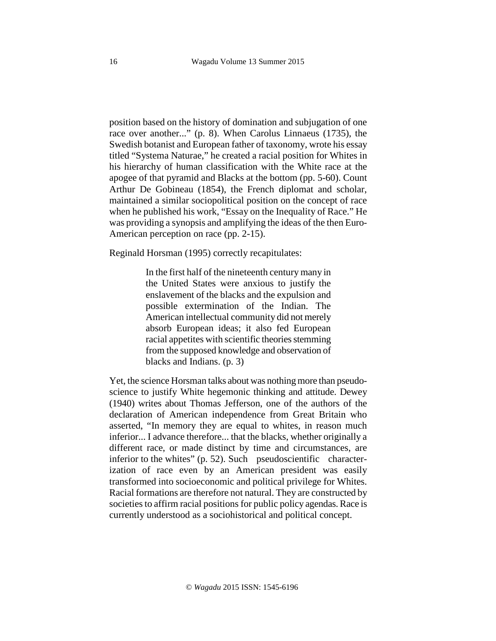position based on the history of domination and subjugation of one race over another..." (p. 8). When Carolus Linnaeus (1735), the Swedish botanist and European father of taxonomy, wrote his essay titled "Systema Naturae," he created a racial position for Whites in his hierarchy of human classification with the White race at the apogee of that pyramid and Blacks at the bottom (pp. 5-60). Count Arthur De Gobineau (1854), the French diplomat and scholar, maintained a similar sociopolitical position on the concept of race when he published his work, "Essay on the Inequality of Race." He was providing a synopsis and amplifying the ideas of the then Euro-American perception on race (pp. 2-15).

Reginald Horsman (1995) correctly recapitulates:

In the first half of the nineteenth century many in the United States were anxious to justify the enslavement of the blacks and the expulsion and possible extermination of the Indian. The American intellectual community did not merely absorb European ideas; it also fed European racial appetites with scientific theories stemming from the supposed knowledge and observation of blacks and Indians. (p. 3)

Yet, the science Horsman talks about was nothing more than pseudoscience to justify White hegemonic thinking and attitude. Dewey (1940) writes about Thomas Jefferson, one of the authors of the declaration of American independence from Great Britain who asserted, "In memory they are equal to whites, in reason much inferior... I advance therefore... that the blacks, whether originally a different race, or made distinct by time and circumstances, are inferior to the whites" (p. 52). Such pseudoscientific characterization of race even by an American president was easily transformed into socioeconomic and political privilege for Whites. Racial formations are therefore not natural. They are constructed by societies to affirm racial positions for public policy agendas. Race is currently understood as a sociohistorical and political concept.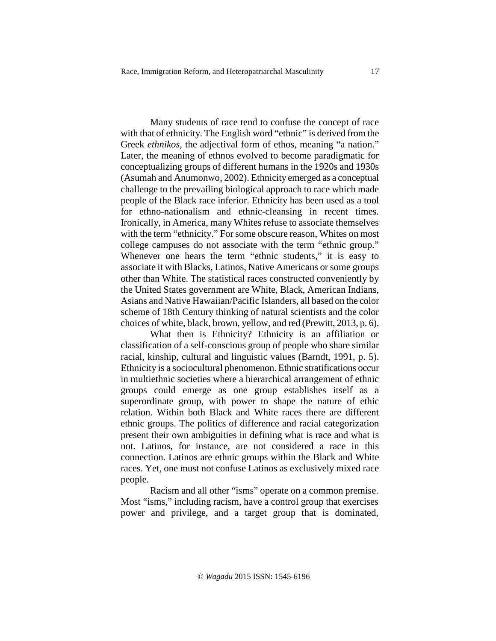Many students of race tend to confuse the concept of race with that of ethnicity. The English word "ethnic" is derived from the Greek *ethnikos*, the adjectival form of ethos, meaning "a nation." Later, the meaning of ethnos evolved to become paradigmatic for conceptualizing groups of different humans in the 1920s and 1930s (Asumah and Anumonwo, 2002). Ethnicity emerged as a conceptual challenge to the prevailing biological approach to race which made people of the Black race inferior. Ethnicity has been used as a tool for ethno-nationalism and ethnic-cleansing in recent times. Ironically, in America, many Whites refuse to associate themselves with the term "ethnicity." For some obscure reason, Whites on most college campuses do not associate with the term "ethnic group." Whenever one hears the term "ethnic students," it is easy to associate it with Blacks, Latinos, Native Americans or some groups other than White. The statistical races constructed conveniently by the United States government are White, Black, American Indians, Asians and Native Hawaiian/Pacific Islanders, all based on the color scheme of 18th Century thinking of natural scientists and the color choices of white, black, brown, yellow, and red (Prewitt, 2013, p. 6).

What then is Ethnicity? Ethnicity is an affiliation or classification of a self-conscious group of people who share similar racial, kinship, cultural and linguistic values (Barndt, 1991, p. 5). Ethnicity is a sociocultural phenomenon. Ethnic stratifications occur in multiethnic societies where a hierarchical arrangement of ethnic groups could emerge as one group establishes itself as a superordinate group, with power to shape the nature of ethic relation. Within both Black and White races there are different ethnic groups. The politics of difference and racial categorization present their own ambiguities in defining what is race and what is not. Latinos, for instance, are not considered a race in this connection. Latinos are ethnic groups within the Black and White races. Yet, one must not confuse Latinos as exclusively mixed race people.

Racism and all other "isms" operate on a common premise. Most "isms," including racism, have a control group that exercises power and privilege, and a target group that is dominated,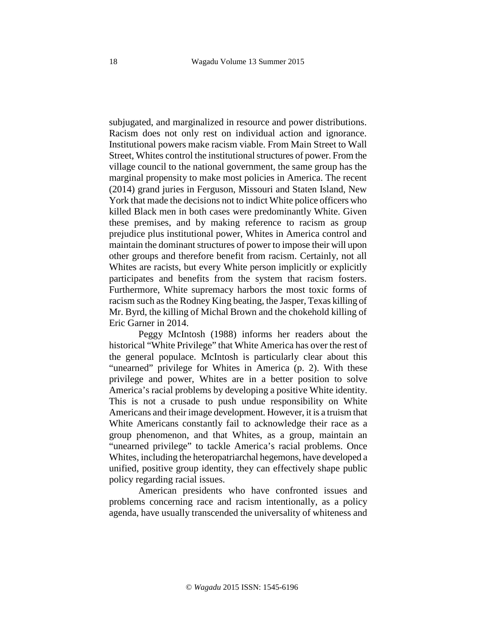subjugated, and marginalized in resource and power distributions. Racism does not only rest on individual action and ignorance. Institutional powers make racism viable. From Main Street to Wall Street, Whites control the institutional structures of power. From the village council to the national government, the same group has the marginal propensity to make most policies in America. The recent (2014) grand juries in Ferguson, Missouri and Staten Island, New York that made the decisions not to indict White police officers who killed Black men in both cases were predominantly White. Given these premises, and by making reference to racism as group prejudice plus institutional power, Whites in America control and maintain the dominant structures of power to impose their will upon other groups and therefore benefit from racism. Certainly, not all Whites are racists, but every White person implicitly or explicitly participates and benefits from the system that racism fosters. Furthermore, White supremacy harbors the most toxic forms of racism such as the Rodney King beating, the Jasper, Texas killing of Mr. Byrd, the killing of Michal Brown and the chokehold killing of Eric Garner in 2014.

Peggy McIntosh (1988) informs her readers about the historical "White Privilege" that White America has over the rest of the general populace. McIntosh is particularly clear about this "unearned" privilege for Whites in America (p. 2). With these privilege and power, Whites are in a better position to solve America's racial problems by developing a positive White identity. This is not a crusade to push undue responsibility on White Americans and their image development. However, it is a truism that White Americans constantly fail to acknowledge their race as a group phenomenon, and that Whites, as a group, maintain an "unearned privilege" to tackle America's racial problems. Once Whites, including the heteropatriarchal hegemons, have developed a unified, positive group identity, they can effectively shape public policy regarding racial issues.

American presidents who have confronted issues and problems concerning race and racism intentionally, as a policy agenda, have usually transcended the universality of whiteness and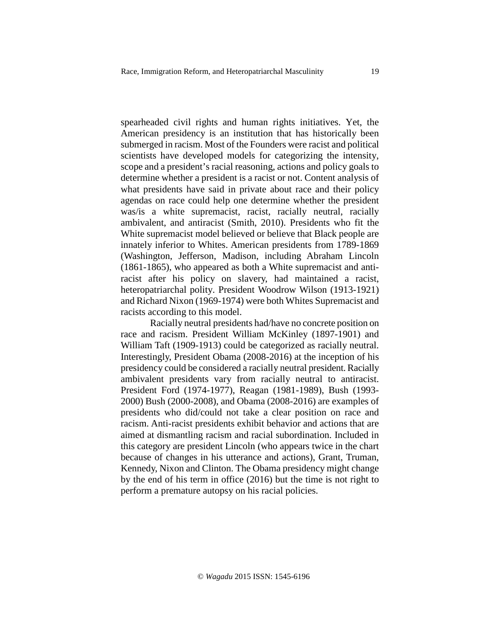spearheaded civil rights and human rights initiatives. Yet, the American presidency is an institution that has historically been submerged in racism. Most of the Founders were racist and political scientists have developed models for categorizing the intensity, scope and a president's racial reasoning, actions and policy goals to determine whether a president is a racist or not. Content analysis of what presidents have said in private about race and their policy agendas on race could help one determine whether the president was/is a white supremacist, racist, racially neutral, racially ambivalent, and antiracist (Smith, 2010). Presidents who fit the White supremacist model believed or believe that Black people are innately inferior to Whites. American presidents from 1789-1869 (Washington, Jefferson, Madison, including Abraham Lincoln (1861-1865), who appeared as both a White supremacist and antiracist after his policy on slavery, had maintained a racist, heteropatriarchal polity. President Woodrow Wilson (1913-1921) and Richard Nixon (1969-1974) were both Whites Supremacist and racists according to this model.

Racially neutral presidents had/have no concrete position on race and racism. President William McKinley (1897-1901) and William Taft (1909-1913) could be categorized as racially neutral. Interestingly, President Obama (2008-2016) at the inception of his presidency could be considered a racially neutral president. Racially ambivalent presidents vary from racially neutral to antiracist. President Ford (1974-1977), Reagan (1981-1989), Bush (1993- 2000) Bush (2000-2008), and Obama (2008-2016) are examples of presidents who did/could not take a clear position on race and racism. Anti-racist presidents exhibit behavior and actions that are aimed at dismantling racism and racial subordination. Included in this category are president Lincoln (who appears twice in the chart because of changes in his utterance and actions), Grant, Truman, Kennedy, Nixon and Clinton. The Obama presidency might change by the end of his term in office (2016) but the time is not right to perform a premature autopsy on his racial policies.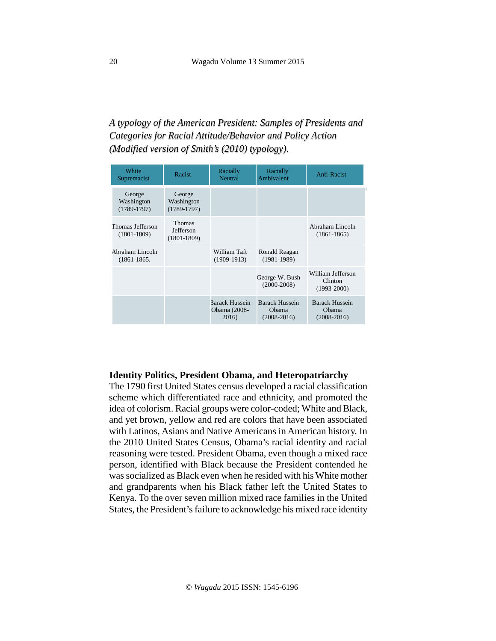# *A typology of the American President: Samples of Presidents and Categories for Racial Attitude/Behavior and Policy Action (Modified version of Smith's (2010) typology).*

| White<br>Supremacist                  | Racist                                        | Racially<br>Neutral                     | Racially<br>Ambivalent                          | Anti-Racist                                     |
|---------------------------------------|-----------------------------------------------|-----------------------------------------|-------------------------------------------------|-------------------------------------------------|
| George<br>Washington<br>$(1789-1797)$ | George<br>Washington<br>$(1789-1797)$         |                                         |                                                 |                                                 |
| Thomas Jefferson<br>$(1801-1809)$     | <b>Thomas</b><br>Jefferson<br>$(1801 - 1809)$ |                                         |                                                 | Abraham Lincoln<br>$(1861 - 1865)$              |
| Abraham Lincoln<br>$(1861 - 1865.$    |                                               | William Taft<br>$(1909-1913)$           | Ronald Reagan<br>$(1981 - 1989)$                |                                                 |
|                                       |                                               |                                         | George W. Bush<br>$(2000 - 2008)$               | William Jefferson<br>Clinton<br>$(1993 - 2000)$ |
|                                       |                                               | Barack Hussein<br>Obama (2008-<br>2016) | <b>Barack Hussein</b><br>Obama<br>$(2008-2016)$ | <b>Barack Hussein</b><br>Obama<br>$(2008-2016)$ |

#### **Identity Politics, President Obama, and Heteropatriarchy**

The 1790 first United States census developed a racial classification scheme which differentiated race and ethnicity, and promoted the idea of colorism. Racial groups were color-coded; White and Black, and yet brown, yellow and red are colors that have been associated with Latinos, Asians and Native Americans in American history. In the 2010 United States Census, Obama's racial identity and racial reasoning were tested. President Obama, even though a mixed race person, identified with Black because the President contended he was socialized as Black even when he resided with his White mother and grandparents when his Black father left the United States to Kenya. To the over seven million mixed race families in the United States, the President's failure to acknowledge his mixed race identity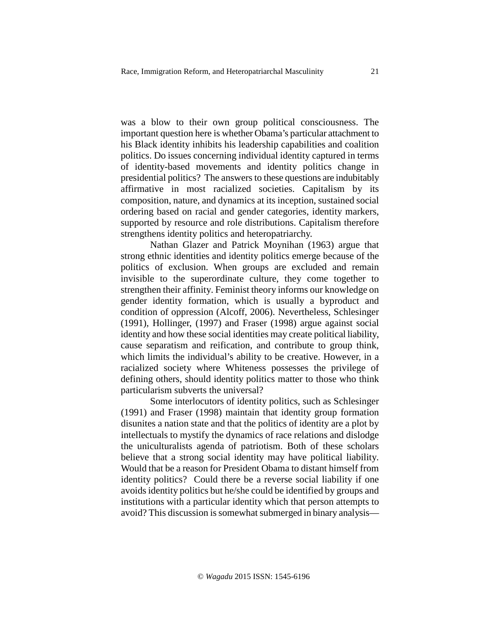was a blow to their own group political consciousness. The important question here is whether Obama's particular attachment to his Black identity inhibits his leadership capabilities and coalition politics. Do issues concerning individual identity captured in terms of identity-based movements and identity politics change in presidential politics? The answers to these questions are indubitably affirmative in most racialized societies. Capitalism by its composition, nature, and dynamics at its inception, sustained social ordering based on racial and gender categories, identity markers, supported by resource and role distributions. Capitalism therefore strengthens identity politics and heteropatriarchy.

Nathan Glazer and Patrick Moynihan (1963) argue that strong ethnic identities and identity politics emerge because of the politics of exclusion. When groups are excluded and remain invisible to the superordinate culture, they come together to strengthen their affinity. Feminist theory informs our knowledge on gender identity formation, which is usually a byproduct and condition of oppression (Alcoff, 2006). Nevertheless, Schlesinger (1991), Hollinger, (1997) and Fraser (1998) argue against social identity and how these social identities may create political liability, cause separatism and reification, and contribute to group think, which limits the individual's ability to be creative. However, in a racialized society where Whiteness possesses the privilege of defining others, should identity politics matter to those who think particularism subverts the universal?

Some interlocutors of identity politics, such as Schlesinger (1991) and Fraser (1998) maintain that identity group formation disunites a nation state and that the politics of identity are a plot by intellectuals to mystify the dynamics of race relations and dislodge the uniculturalists agenda of patriotism. Both of these scholars believe that a strong social identity may have political liability. Would that be a reason for President Obama to distant himself from identity politics? Could there be a reverse social liability if one avoids identity politics but he/she could be identified by groups and institutions with a particular identity which that person attempts to avoid? This discussion is somewhat submerged in binary analysis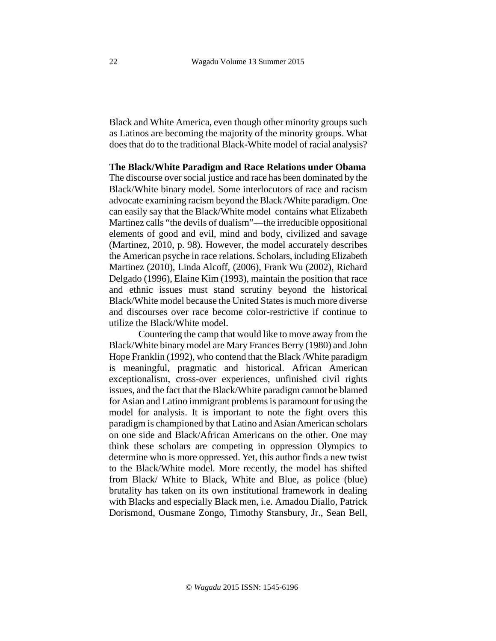Black and White America, even though other minority groups such as Latinos are becoming the majority of the minority groups. What does that do to the traditional Black-White model of racial analysis?

**The Black/White Paradigm and Race Relations under Obama**

The discourse over social justice and race has been dominated by the Black/White binary model. Some interlocutors of race and racism advocate examining racism beyond the Black /White paradigm. One can easily say that the Black/White model contains what Elizabeth Martinez calls "the devils of dualism"—the irreducible oppositional elements of good and evil, mind and body, civilized and savage (Martinez, 2010, p. 98). However, the model accurately describes the American psyche in race relations. Scholars, including Elizabeth Martinez (2010), Linda Alcoff, (2006), Frank Wu (2002), Richard Delgado (1996), Elaine Kim (1993), maintain the position that race and ethnic issues must stand scrutiny beyond the historical Black/White model because the United States is much more diverse and discourses over race become color-restrictive if continue to utilize the Black/White model.

 Countering the camp that would like to move away from the Black/White binary model are Mary Frances Berry (1980) and John Hope Franklin (1992), who contend that the Black /White paradigm is meaningful, pragmatic and historical. African American exceptionalism, cross-over experiences, unfinished civil rights issues, and the fact that the Black/White paradigm cannot be blamed for Asian and Latino immigrant problems is paramount for using the model for analysis. It is important to note the fight overs this paradigm is championed by that Latino and Asian American scholars on one side and Black/African Americans on the other. One may think these scholars are competing in oppression Olympics to determine who is more oppressed. Yet, this author finds a new twist to the Black/White model. More recently, the model has shifted from Black/ White to Black, White and Blue, as police (blue) brutality has taken on its own institutional framework in dealing with Blacks and especially Black men, i.e. Amadou Diallo, Patrick Dorismond, Ousmane Zongo, Timothy Stansbury, Jr., Sean Bell,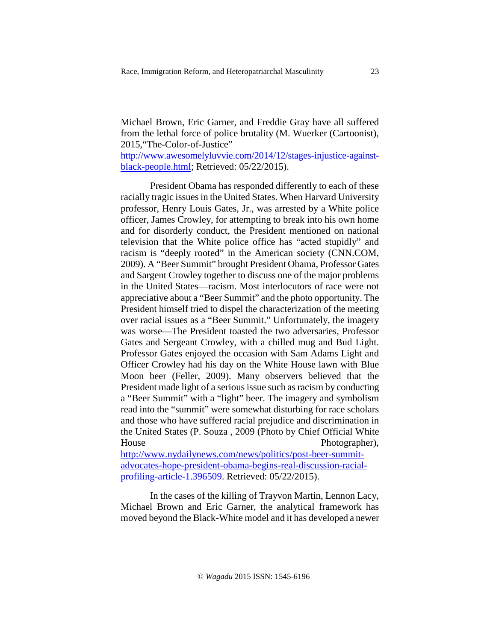Michael Brown, Eric Garner, and Freddie Gray have all suffered from the lethal force of police brutality (M. Wuerker (Cartoonist), 2015,"The-Color-of-Justice"

[http://www.awesomelyluvvie.com/2014/12/stages-injustice-against](http://www.awesomelyluvvie.com/2014/12/stages-injustice-against-black-people.html)[black-people.html;](http://www.awesomelyluvvie.com/2014/12/stages-injustice-against-black-people.html) Retrieved: 05/22/2015).

President Obama has responded differently to each of these racially tragic issues in the United States. When Harvard University professor, Henry Louis Gates, Jr., was arrested by a White police officer, James Crowley, for attempting to break into his own home and for disorderly conduct, the President mentioned on national television that the White police office has "acted stupidly" and racism is "deeply rooted" in the American society (CNN.COM, 2009). A "Beer Summit" brought President Obama, Professor Gates and Sargent Crowley together to discuss one of the major problems in the United States—racism. Most interlocutors of race were not appreciative about a "Beer Summit" and the photo opportunity. The President himself tried to dispel the characterization of the meeting over racial issues as a "Beer Summit." Unfortunately, the imagery was worse—The President toasted the two adversaries, Professor Gates and Sergeant Crowley, with a chilled mug and Bud Light. Professor Gates enjoyed the occasion with Sam Adams Light and Officer Crowley had his day on the White House lawn with Blue Moon beer (Feller, 2009). Many observers believed that the President made light of a serious issue such as racism by conducting a "Beer Summit" with a "light" beer. The imagery and symbolism read into the "summit" were somewhat disturbing for race scholars and those who have suffered racial prejudice and discrimination in the United States (P. Souza , 2009 (Photo by Chief Official White House Photographer),

[http://www.nydailynews.com/news/politics/post-beer-summit](http://www.nydailynews.com/news/politics/post-beer-summit-advocates-hope-president-obama-begins-real-discussion-racial-profiling-article-1.396509)[advocates-hope-president-obama-begins-real-discussion-racial](http://www.nydailynews.com/news/politics/post-beer-summit-advocates-hope-president-obama-begins-real-discussion-racial-profiling-article-1.396509)[profiling-article-1.396509.](http://www.nydailynews.com/news/politics/post-beer-summit-advocates-hope-president-obama-begins-real-discussion-racial-profiling-article-1.396509) Retrieved: 05/22/2015).

In the cases of the killing of Trayvon Martin, Lennon Lacy, Michael Brown and Eric Garner, the analytical framework has moved beyond the Black-White model and it has developed a newer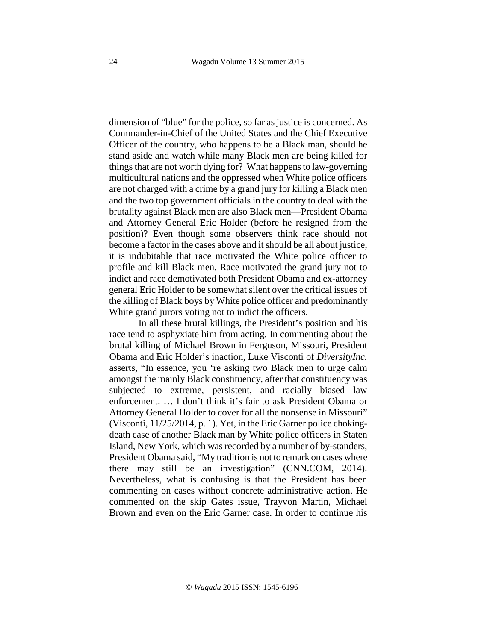dimension of "blue" for the police, so far as justice is concerned. As Commander-in-Chief of the United States and the Chief Executive Officer of the country, who happens to be a Black man, should he stand aside and watch while many Black men are being killed for things that are not worth dying for? What happens to law-governing multicultural nations and the oppressed when White police officers are not charged with a crime by a grand jury for killing a Black men and the two top government officials in the country to deal with the brutality against Black men are also Black men—President Obama and Attorney General Eric Holder (before he resigned from the position)? Even though some observers think race should not become a factor in the cases above and it should be all about justice, it is indubitable that race motivated the White police officer to profile and kill Black men. Race motivated the grand jury not to indict and race demotivated both President Obama and ex-attorney general Eric Holder to be somewhat silent over the critical issues of the killing of Black boys by White police officer and predominantly White grand jurors voting not to indict the officers.

In all these brutal killings, the President's position and his race tend to asphyxiate him from acting. In commenting about the brutal killing of Michael Brown in Ferguson, Missouri, President Obama and Eric Holder's inaction, Luke Visconti of *DiversityInc.* asserts, "In essence, you 're asking two Black men to urge calm amongst the mainly Black constituency, after that constituency was subjected to extreme, persistent, and racially biased law enforcement. … I don't think it's fair to ask President Obama or Attorney General Holder to cover for all the nonsense in Missouri" (Visconti, 11/25/2014, p. 1). Yet, in the Eric Garner police chokingdeath case of another Black man by White police officers in Staten Island, New York, which was recorded by a number of by-standers, President Obama said, "My tradition is not to remark on cases where there may still be an investigation" (CNN.COM, 2014). Nevertheless, what is confusing is that the President has been commenting on cases without concrete administrative action. He commented on the skip Gates issue, Trayvon Martin, Michael Brown and even on the Eric Garner case. In order to continue his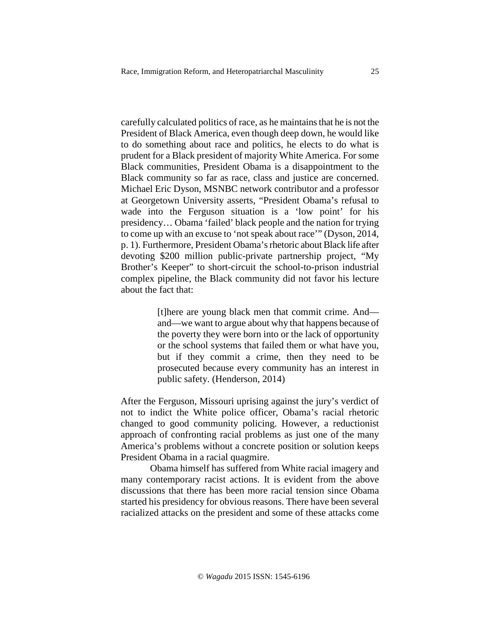carefully calculated politics of race, as he maintains that he is not the President of Black America, even though deep down, he would like to do something about race and politics, he elects to do what is prudent for a Black president of majority White America. For some Black communities, President Obama is a disappointment to the Black community so far as race, class and justice are concerned. Michael Eric Dyson, MSNBC network contributor and a professor at Georgetown University asserts, "President Obama's refusal to wade into the Ferguson situation is a 'low point' for his presidency… Obama 'failed' black people and the nation for trying to come up with an excuse to 'not speak about race'" (Dyson, 2014, p. 1). Furthermore, President Obama's rhetoric about Black life after devoting \$200 million public-private partnership project, "My Brother's Keeper" to short-circuit the school-to-prison industrial complex pipeline, the Black community did not favor his lecture about the fact that:

> [t]here are young black men that commit crime. And and—we want to argue about why that happens because of the poverty they were born into or the lack of opportunity or the school systems that failed them or what have you, but if they commit a crime, then they need to be prosecuted because every community has an interest in public safety. (Henderson, 2014)

After the Ferguson, Missouri uprising against the jury's verdict of not to indict the White police officer, Obama's racial rhetoric changed to good community policing. However, a reductionist approach of confronting racial problems as just one of the many America's problems without a concrete position or solution keeps President Obama in a racial quagmire.

Obama himself has suffered from White racial imagery and many contemporary racist actions. It is evident from the above discussions that there has been more racial tension since Obama started his presidency for obvious reasons. There have been several racialized attacks on the president and some of these attacks come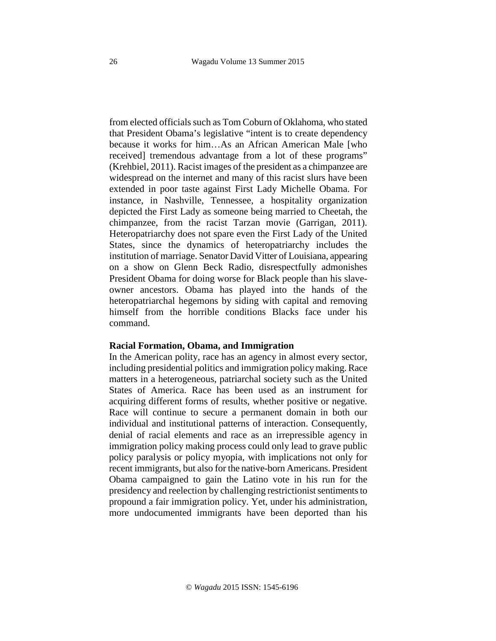from elected officials such as Tom Coburn of Oklahoma, who stated that President Obama's legislative "intent is to create dependency because it works for him…As an African American Male [who received] tremendous advantage from a lot of these programs" (Krehbiel, 2011). Racist images of the president as a chimpanzee are widespread on the internet and many of this racist slurs have been extended in poor taste against First Lady Michelle Obama. For instance, in Nashville, Tennessee, a hospitality organization depicted the First Lady as someone being married to Cheetah, the chimpanzee, from the racist Tarzan movie (Garrigan, 2011). Heteropatriarchy does not spare even the First Lady of the United States, since the dynamics of heteropatriarchy includes the institution of marriage. Senator David Vitter of Louisiana, appearing on a show on Glenn Beck Radio, disrespectfully admonishes President Obama for doing worse for Black people than his slaveowner ancestors. Obama has played into the hands of the heteropatriarchal hegemons by siding with capital and removing himself from the horrible conditions Blacks face under his command.

#### **Racial Formation, Obama, and Immigration**

In the American polity, race has an agency in almost every sector, including presidential politics and immigration policy making. Race matters in a heterogeneous, patriarchal society such as the United States of America. Race has been used as an instrument for acquiring different forms of results, whether positive or negative. Race will continue to secure a permanent domain in both our individual and institutional patterns of interaction. Consequently, denial of racial elements and race as an irrepressible agency in immigration policy making process could only lead to grave public policy paralysis or policy myopia, with implications not only for recent immigrants, but also for the native-born Americans. President Obama campaigned to gain the Latino vote in his run for the presidency and reelection by challenging restrictionist sentiments to propound a fair immigration policy. Yet, under his administration, more undocumented immigrants have been deported than his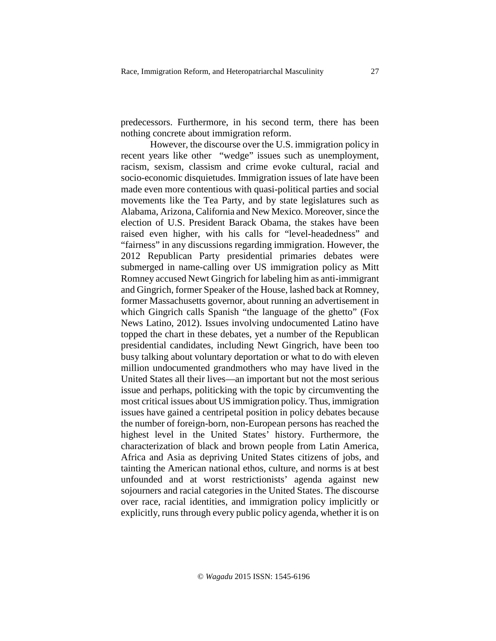predecessors. Furthermore, in his second term, there has been nothing concrete about immigration reform.

However, the discourse over the U.S. immigration policy in recent years like other "wedge" issues such as unemployment, racism, sexism, classism and crime evoke cultural, racial and socio-economic disquietudes. Immigration issues of late have been made even more contentious with quasi-political parties and social movements like the Tea Party, and by state legislatures such as Alabama, Arizona, California and New Mexico. Moreover, since the election of U.S. President Barack Obama, the stakes have been raised even higher, with his calls for "level-headedness" and "fairness" in any discussions regarding immigration. However, the 2012 Republican Party presidential primaries debates were submerged in name-calling over US immigration policy as Mitt Romney accused Newt Gingrich for labeling him as anti-immigrant and Gingrich, former Speaker of the House, lashed back at Romney, former Massachusetts governor, about running an advertisement in which Gingrich calls Spanish "the language of the ghetto" (Fox News Latino, 2012). Issues involving undocumented Latino have topped the chart in these debates, yet a number of the Republican presidential candidates, including Newt Gingrich, have been too busy talking about voluntary deportation or what to do with eleven million undocumented grandmothers who may have lived in the United States all their lives—an important but not the most serious issue and perhaps, politicking with the topic by circumventing the most critical issues about US immigration policy. Thus, immigration issues have gained a centripetal position in policy debates because the number of foreign-born, non-European persons has reached the highest level in the United States' history. Furthermore, the characterization of black and brown people from Latin America, Africa and Asia as depriving United States citizens of jobs, and tainting the American national ethos, culture, and norms is at best unfounded and at worst restrictionists' agenda against new sojourners and racial categories in the United States. The discourse over race, racial identities, and immigration policy implicitly or explicitly, runs through every public policy agenda, whether it is on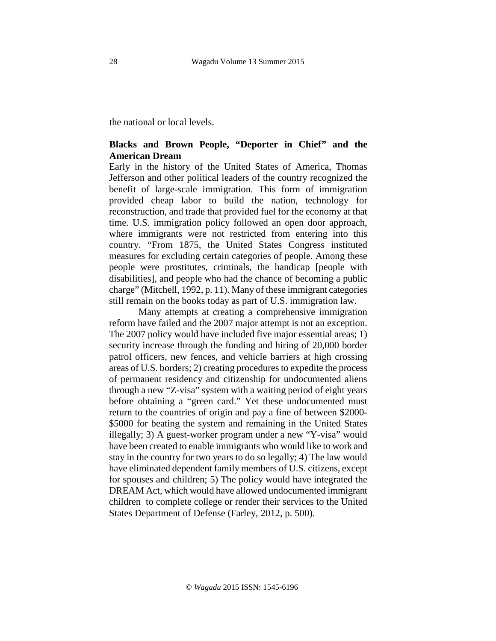the national or local levels.

## **Blacks and Brown People, "Deporter in Chief" and the American Dream**

Early in the history of the United States of America, Thomas Jefferson and other political leaders of the country recognized the benefit of large-scale immigration. This form of immigration provided cheap labor to build the nation, technology for reconstruction, and trade that provided fuel for the economy at that time. U.S. immigration policy followed an open door approach, where immigrants were not restricted from entering into this country. "From 1875, the United States Congress instituted measures for excluding certain categories of people. Among these people were prostitutes, criminals, the handicap [people with disabilities], and people who had the chance of becoming a public charge" (Mitchell, 1992, p. 11). Many of these immigrant categories still remain on the books today as part of U.S. immigration law.

Many attempts at creating a comprehensive immigration reform have failed and the 2007 major attempt is not an exception. The 2007 policy would have included five major essential areas; 1) security increase through the funding and hiring of 20,000 border patrol officers, new fences, and vehicle barriers at high crossing areas of U.S. borders; 2) creating procedures to expedite the process of permanent residency and citizenship for undocumented aliens through a new "Z-visa" system with a waiting period of eight years before obtaining a "green card." Yet these undocumented must return to the countries of origin and pay a fine of between \$2000- \$5000 for beating the system and remaining in the United States illegally; 3) A guest-worker program under a new "Y-visa" would have been created to enable immigrants who would like to work and stay in the country for two years to do so legally; 4) The law would have eliminated dependent family members of U.S. citizens, except for spouses and children; 5) The policy would have integrated the DREAM Act, which would have allowed undocumented immigrant children to complete college or render their services to the United States Department of Defense (Farley, 2012, p. 500).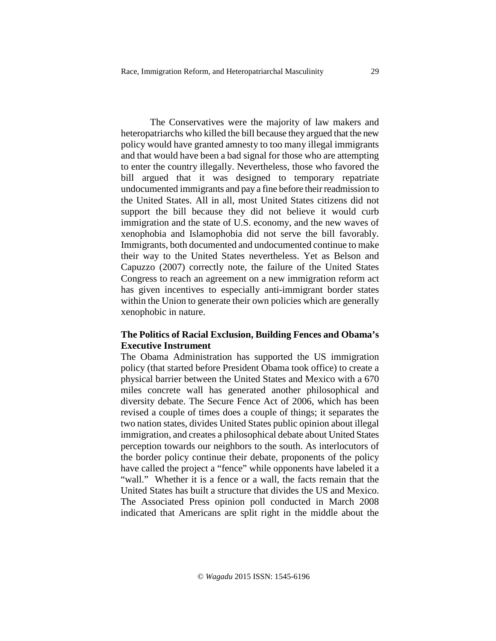The Conservatives were the majority of law makers and heteropatriarchs who killed the bill because they argued that the new policy would have granted amnesty to too many illegal immigrants and that would have been a bad signal for those who are attempting to enter the country illegally. Nevertheless, those who favored the bill argued that it was designed to temporary repatriate undocumented immigrants and pay a fine before their readmission to the United States. All in all, most United States citizens did not support the bill because they did not believe it would curb immigration and the state of U.S. economy, and the new waves of xenophobia and Islamophobia did not serve the bill favorably. Immigrants, both documented and undocumented continue to make their way to the United States nevertheless. Yet as Belson and Capuzzo (2007) correctly note, the failure of the United States Congress to reach an agreement on a new immigration reform act has given incentives to especially anti-immigrant border states within the Union to generate their own policies which are generally xenophobic in nature.

# **The Politics of Racial Exclusion, Building Fences and Obama's Executive Instrument**

The Obama Administration has supported the US immigration policy (that started before President Obama took office) to create a physical barrier between the United States and Mexico with a 670 miles concrete wall has generated another philosophical and diversity debate. The Secure Fence Act of 2006, which has been revised a couple of times does a couple of things; it separates the two nation states, divides United States public opinion about illegal immigration, and creates a philosophical debate about United States perception towards our neighbors to the south. As interlocutors of the border policy continue their debate, proponents of the policy have called the project a "fence" while opponents have labeled it a "wall." Whether it is a fence or a wall, the facts remain that the United States has built a structure that divides the US and Mexico. The Associated Press opinion poll conducted in March 2008 indicated that Americans are split right in the middle about the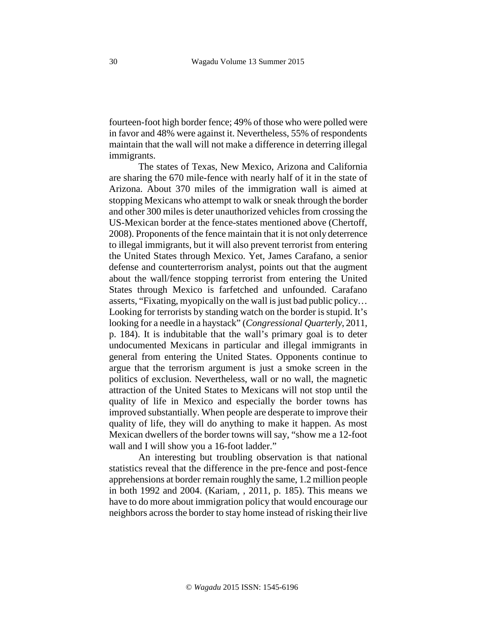fourteen-foot high border fence; 49% of those who were polled were in favor and 48% were against it. Nevertheless, 55% of respondents maintain that the wall will not make a difference in deterring illegal immigrants.

The states of Texas, New Mexico, Arizona and California are sharing the 670 mile-fence with nearly half of it in the state of Arizona. About 370 miles of the immigration wall is aimed at stopping Mexicans who attempt to walk or sneak through the border and other 300 miles is deter unauthorized vehicles from crossing the US-Mexican border at the fence-states mentioned above (Chertoff, 2008). Proponents of the fence maintain that it is not only deterrence to illegal immigrants, but it will also prevent terrorist from entering the United States through Mexico. Yet, James Carafano, a senior defense and counterterrorism analyst, points out that the augment about the wall/fence stopping terrorist from entering the United States through Mexico is farfetched and unfounded. Carafano asserts, "Fixating, myopically on the wall is just bad public policy… Looking for terrorists by standing watch on the border is stupid. It's looking for a needle in a haystack" (*Congressional Quarterly*, 2011, p. 184). It is indubitable that the wall's primary goal is to deter undocumented Mexicans in particular and illegal immigrants in general from entering the United States. Opponents continue to argue that the terrorism argument is just a smoke screen in the politics of exclusion. Nevertheless, wall or no wall, the magnetic attraction of the United States to Mexicans will not stop until the quality of life in Mexico and especially the border towns has improved substantially. When people are desperate to improve their quality of life, they will do anything to make it happen. As most Mexican dwellers of the border towns will say, "show me a 12-foot wall and I will show you a 16-foot ladder."

An interesting but troubling observation is that national statistics reveal that the difference in the pre-fence and post-fence apprehensions at border remain roughly the same, 1.2 million people in both 1992 and 2004. (Kariam, , 2011, p. 185). This means we have to do more about immigration policy that would encourage our neighbors across the border to stay home instead of risking their live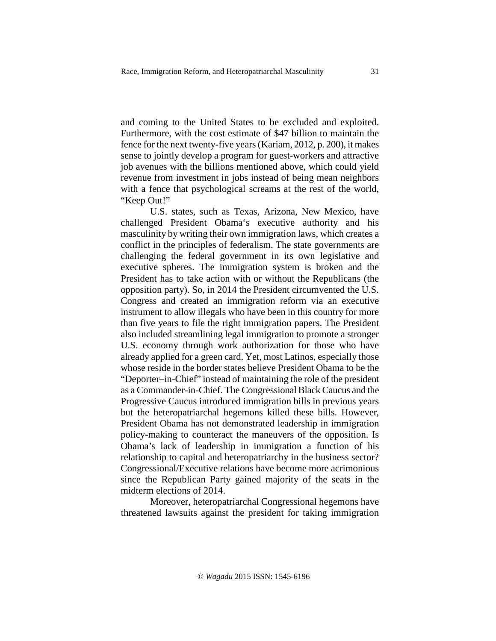and coming to the United States to be excluded and exploited. Furthermore, with the cost estimate of \$47 billion to maintain the fence for the next twenty-five years (Kariam, 2012, p. 200), it makes sense to jointly develop a program for guest-workers and attractive job avenues with the billions mentioned above, which could yield revenue from investment in jobs instead of being mean neighbors with a fence that psychological screams at the rest of the world, "Keep Out!"

 U.S. states, such as Texas, Arizona, New Mexico, have challenged President Obama's executive authority and his masculinity by writing their own immigration laws, which creates a conflict in the principles of federalism. The state governments are challenging the federal government in its own legislative and executive spheres. The immigration system is broken and the President has to take action with or without the Republicans (the opposition party). So, in 2014 the President circumvented the U.S. Congress and created an immigration reform via an executive instrument to allow illegals who have been in this country for more than five years to file the right immigration papers. The President also included streamlining legal immigration to promote a stronger U.S. economy through work authorization for those who have already applied for a green card. Yet, most Latinos, especially those whose reside in the border states believe President Obama to be the "Deporter–in-Chief" instead of maintaining the role of the president as a Commander-in-Chief. The Congressional Black Caucus and the Progressive Caucus introduced immigration bills in previous years but the heteropatriarchal hegemons killed these bills. However, President Obama has not demonstrated leadership in immigration policy-making to counteract the maneuvers of the opposition. Is Obama's lack of leadership in immigration a function of his relationship to capital and heteropatriarchy in the business sector? Congressional/Executive relations have become more acrimonious since the Republican Party gained majority of the seats in the midterm elections of 2014.

 Moreover, heteropatriarchal Congressional hegemons have threatened lawsuits against the president for taking immigration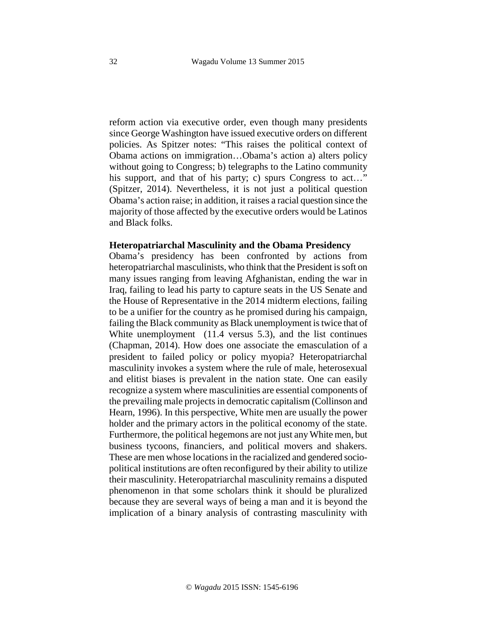reform action via executive order, even though many presidents since George Washington have issued executive orders on different policies. As Spitzer notes: "This raises the political context of Obama actions on immigration…Obama's action a) alters policy without going to Congress; b) telegraphs to the Latino community his support, and that of his party; c) spurs Congress to act..." (Spitzer, 2014). Nevertheless, it is not just a political question Obama's action raise; in addition, it raises a racial question since the majority of those affected by the executive orders would be Latinos and Black folks.

## **Heteropatriarchal Masculinity and the Obama Presidency**

Obama's presidency has been confronted by actions from heteropatriarchal masculinists, who think that the President is soft on many issues ranging from leaving Afghanistan, ending the war in Iraq, failing to lead his party to capture seats in the US Senate and the House of Representative in the 2014 midterm elections, failing to be a unifier for the country as he promised during his campaign, failing the Black community as Black unemployment is twice that of White unemployment (11.4 versus 5.3), and the list continues (Chapman, 2014). How does one associate the emasculation of a president to failed policy or policy myopia? Heteropatriarchal masculinity invokes a system where the rule of male, heterosexual and elitist biases is prevalent in the nation state. One can easily recognize a system where masculinities are essential components of the prevailing male projects in democratic capitalism (Collinson and Hearn, 1996). In this perspective, White men are usually the power holder and the primary actors in the political economy of the state. Furthermore, the political hegemons are not just any White men, but business tycoons, financiers, and political movers and shakers. These are men whose locations in the racialized and gendered sociopolitical institutions are often reconfigured by their ability to utilize their masculinity. Heteropatriarchal masculinity remains a disputed phenomenon in that some scholars think it should be pluralized because they are several ways of being a man and it is beyond the implication of a binary analysis of contrasting masculinity with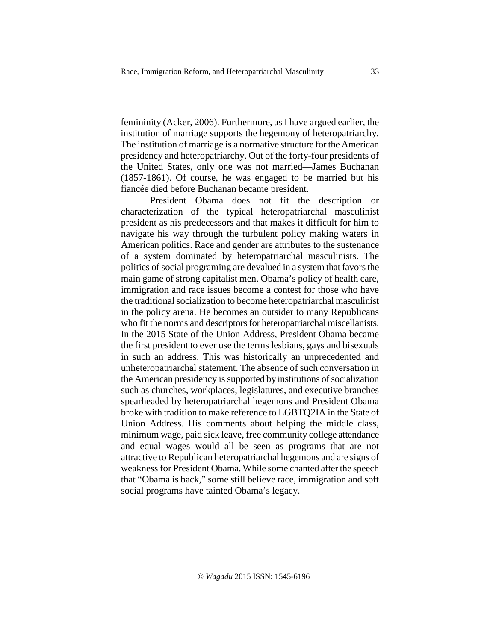femininity (Acker, 2006). Furthermore, as I have argued earlier, the institution of marriage supports the hegemony of heteropatriarchy. The institution of marriage is a normative structure for the American presidency and heteropatriarchy. Out of the forty-four presidents of the United States, only one was not married—James Buchanan (1857-1861). Of course, he was engaged to be married but his fiancée died before Buchanan became president.

President Obama does not fit the description or characterization of the typical heteropatriarchal masculinist president as his predecessors and that makes it difficult for him to navigate his way through the turbulent policy making waters in American politics. Race and gender are attributes to the sustenance of a system dominated by heteropatriarchal masculinists. The politics of social programing are devalued in a system that favors the main game of strong capitalist men. Obama's policy of health care, immigration and race issues become a contest for those who have the traditional socialization to become heteropatriarchal masculinist in the policy arena. He becomes an outsider to many Republicans who fit the norms and descriptors for heteropatriarchal miscellanists. In the 2015 State of the Union Address, President Obama became the first president to ever use the terms lesbians, gays and bisexuals in such an address. This was historically an unprecedented and unheteropatriarchal statement. The absence of such conversation in the American presidency is supported by institutions of socialization such as churches, workplaces, legislatures, and executive branches spearheaded by heteropatriarchal hegemons and President Obama broke with tradition to make reference to LGBTQ2IA in the State of Union Address. His comments about helping the middle class, minimum wage, paid sick leave, free community college attendance and equal wages would all be seen as programs that are not attractive to Republican heteropatriarchal hegemons and are signs of weakness for President Obama. While some chanted after the speech that "Obama is back," some still believe race, immigration and soft social programs have tainted Obama's legacy.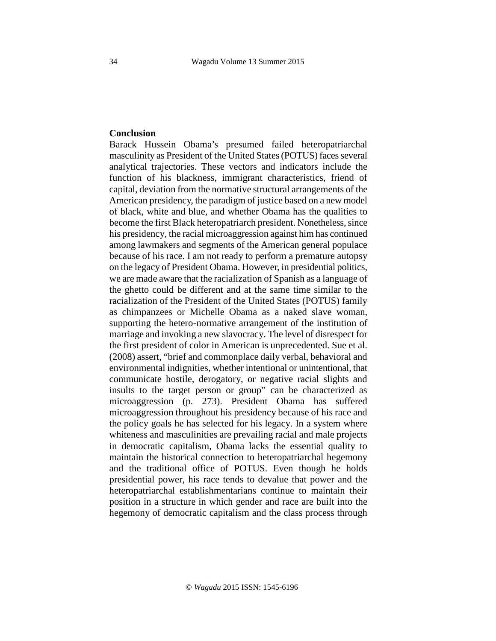# **Conclusion**

Barack Hussein Obama's presumed failed heteropatriarchal masculinity as President of the United States (POTUS) faces several analytical trajectories. These vectors and indicators include the function of his blackness, immigrant characteristics, friend of capital, deviation from the normative structural arrangements of the American presidency, the paradigm of justice based on a new model of black, white and blue, and whether Obama has the qualities to become the first Black heteropatriarch president. Nonetheless, since his presidency, the racial microaggression against him has continued among lawmakers and segments of the American general populace because of his race. I am not ready to perform a premature autopsy on the legacy of President Obama. However, in presidential politics, we are made aware that the racialization of Spanish as a language of the ghetto could be different and at the same time similar to the racialization of the President of the United States (POTUS) family as chimpanzees or Michelle Obama as a naked slave woman, supporting the hetero-normative arrangement of the institution of marriage and invoking a new slavocracy. The level of disrespect for the first president of color in American is unprecedented. Sue et al. (2008) assert, "brief and commonplace daily verbal, behavioral and environmental indignities, whether intentional or unintentional, that communicate hostile, derogatory, or negative racial slights and insults to the target person or group" can be characterized as microaggression (p. 273). President Obama has suffered microaggression throughout his presidency because of his race and the policy goals he has selected for his legacy. In a system where whiteness and masculinities are prevailing racial and male projects in democratic capitalism, Obama lacks the essential quality to maintain the historical connection to heteropatriarchal hegemony and the traditional office of POTUS. Even though he holds presidential power, his race tends to devalue that power and the heteropatriarchal establishmentarians continue to maintain their position in a structure in which gender and race are built into the hegemony of democratic capitalism and the class process through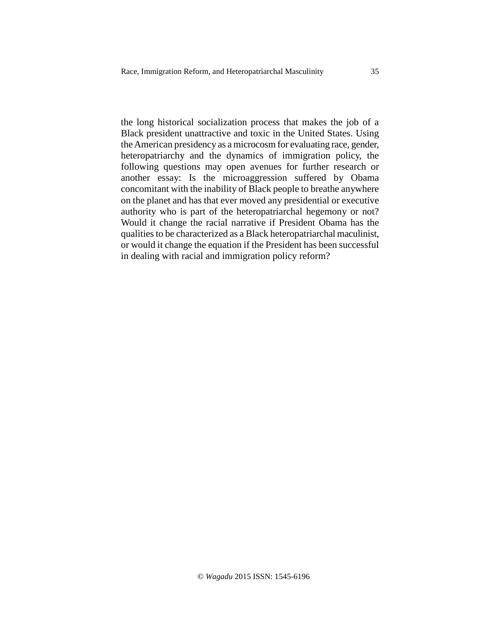the long historical socialization process that makes the job of a Black president unattractive and toxic in the United States. Using the American presidency as a microcosm for evaluating race, gender, heteropatriarchy and the dynamics of immigration policy, the following questions may open avenues for further research or another essay: Is the microaggression suffered by Obama concomitant with the inability of Black people to breathe anywhere on the planet and has that ever moved any presidential or executive authority who is part of the heteropatriarchal hegemony or not? Would it change the racial narrative if President Obama has the qualities to be characterized as a Black heteropatriarchal maculinist, or would it change the equation if the President has been successful in dealing with racial and immigration policy reform?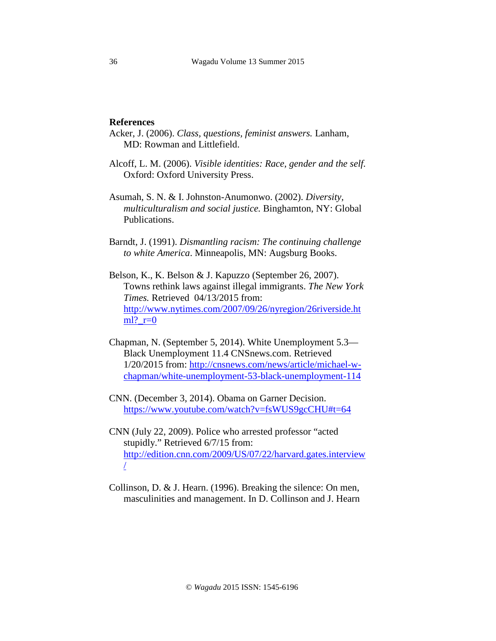#### **References**

- Acker, J. (2006). *Class, questions, feminist answers.* Lanham, MD: Rowman and Littlefield.
- Alcoff, L. M. (2006). *Visible identities: Race, gender and the self.*  Oxford: Oxford University Press.
- Asumah, S. N. & I. Johnston-Anumonwo. (2002). *Diversity, multiculturalism and social justice.* Binghamton, NY: Global Publications.
- Barndt, J. (1991). *Dismantling racism: The continuing challenge to white America*. Minneapolis, MN: Augsburg Books.
- Belson, K., K. Belson & J. Kapuzzo (September 26, 2007). Towns rethink laws against illegal immigrants. *The New York Times.* Retrieved 04/13/2015 from: [http://www.nytimes.com/2007/09/26/nyregion/26riverside.ht](http://www.nytimes.com/2007/09/26/nyregion/26riverside.html?_r=0)  $ml?$ \_ $r=0$
- Chapman, N. (September 5, 2014). White Unemployment 5.3— Black Unemployment 11.4 CNSnews.com. Retrieved 1/20/2015 from: [http://cnsnews.com/news/article/michael-w](http://cnsnews.com/news/article/michael-w-chapman/white-unemployment-53-black-unemployment-114)[chapman/white-unemployment-53-black-unemployment-114](http://cnsnews.com/news/article/michael-w-chapman/white-unemployment-53-black-unemployment-114)
- CNN. (December 3, 2014). Obama on Garner Decision. [https://www.youtube.com/watch?v=fsWUS9gcCHU#t=64](https://www.youtube.com/watch?v=fsWUS9gcCHU%23t=64)
- CNN (July 22, 2009). Police who arrested professor "acted stupidly." Retrieved 6/7/15 from: [http://edition.cnn.com/2009/US/07/22/harvard.gates.interview](http://edition.cnn.com/2009/US/07/22/harvard.gates.interview/) [/](http://edition.cnn.com/2009/US/07/22/harvard.gates.interview/)
- Collinson, D. & J. Hearn. (1996). Breaking the silence: On men, masculinities and management. In D. Collinson and J. Hearn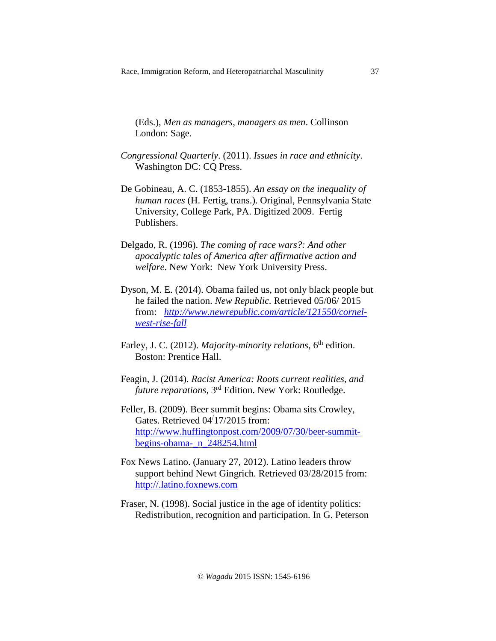(Eds.), *Men as managers, managers as men*. Collinson London: Sage.

- *Congressional Quarterly*. (2011). *Issues in race and ethnicity*. Washington DC: CQ Press.
- De Gobineau, A. C. (1853-1855). *An essay on the inequality of human races* (H. Fertig, trans.). Original, Pennsylvania State University, College Park, PA. Digitized 2009. Fertig Publishers.
- Delgado, R. (1996). *The coming of race wars?: And other apocalyptic tales of America after affirmative action and welfare*. New York: New York University Press.
- Dyson, M. E. (2014). Obama failed us, not only black people but he failed the nation. *New Republic.* Retrieved 05/06/ 2015 from: *[http://www.newrepublic.com/article/121550/cornel](http://www.newrepublic.com/article/121550/cornel-west-rise-fall)[west-rise-fall](http://www.newrepublic.com/article/121550/cornel-west-rise-fall)*
- Farley, J. C. (2012). *Majority-minority relations*, 6<sup>th</sup> edition. Boston: Prentice Hall.
- Feagin, J. (2014). *Racist America: Roots current realities, and future reparations,* 3rd Edition. New York: Routledge.
- Feller, B. (2009). Beer summit begins: Obama sits Crowley, Gates. Retrieved 04/17/2015 from: [http://www.huffingtonpost.com/2009/07/30/beer-summit](http://www.huffingtonpost.com/2009/07/30/beer-summit-begins-obama-_n_248254.html)[begins-obama-\\_n\\_248254.html](http://www.huffingtonpost.com/2009/07/30/beer-summit-begins-obama-_n_248254.html)
- Fox News Latino. (January 27, 2012). Latino leaders throw support behind Newt Gingrich. Retrieved 03/28/2015 from: [http://.latino.foxnews.com](http://.latino.foxnews.com/)
- Fraser, N. (1998). Social justice in the age of identity politics: Redistribution, recognition and participation. In G. Peterson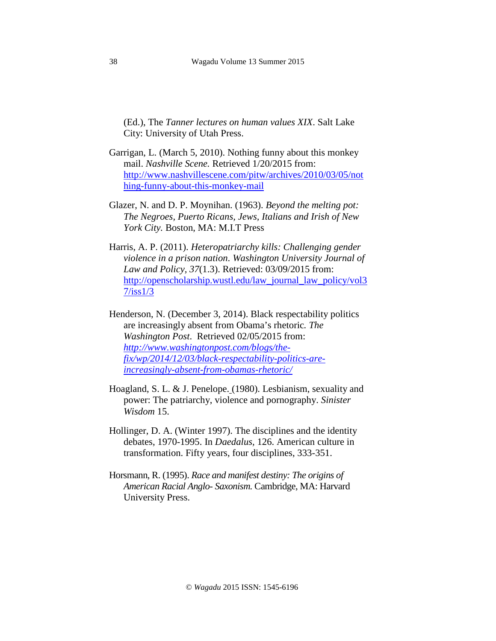(Ed.), The *Tanner lectures on human values XIX*. Salt Lake City: University of Utah Press.

- Garrigan, L. (March 5, 2010). Nothing funny about this monkey mail. *Nashville Scene.* Retrieved 1/20/2015 from: [http://www.nashvillescene.com/pitw/archives/2010/03/05/not](http://www.nashvillescene.com/pitw/archives/2010/03/05/nothing-funny-about-this-monkey-mail) [hing-funny-about-this-monkey-mail](http://www.nashvillescene.com/pitw/archives/2010/03/05/nothing-funny-about-this-monkey-mail)
- Glazer, N. and D. P. Moynihan. (1963). *Beyond the melting pot: The Negroes, Puerto Ricans, Jews, Italians and Irish of New York City.* Boston, MA: M.I.T Press
- Harris, A. P. (2011). *Heteropatriarchy kills: Challenging gender violence in a prison nation*. *Washington University Journal of Law and Policy, 37*(1.3). Retrieved: 03/09/2015 from: [http://openscholarship.wustl.edu/law\\_journal\\_law\\_policy/vol3](http://openscholarship.wustl.edu/law_journal_law_policy/vol37/iss1/3) [7/iss1/3](http://openscholarship.wustl.edu/law_journal_law_policy/vol37/iss1/3)
- Henderson, N. (December 3, 2014). Black respectability politics are increasingly absent from Obama's rhetoric*. The Washington Post*. Retrieved 02/05/2015 from: *[http://www.washingtonpost.com/blogs/the](http://www.washingtonpost.com/blogs/the-fix/wp/2014/12/03/black-respectability-politics-are-increasingly-absent-from-obamas-rhetoric/)[fix/wp/2014/12/03/black-respectability-politics-are](http://www.washingtonpost.com/blogs/the-fix/wp/2014/12/03/black-respectability-politics-are-increasingly-absent-from-obamas-rhetoric/)[increasingly-absent-from-obamas-rhetoric/](http://www.washingtonpost.com/blogs/the-fix/wp/2014/12/03/black-respectability-politics-are-increasingly-absent-from-obamas-rhetoric/)*
- Hoagland, S. L. & J. Penelope. (1980). Lesbianism, sexuality and power: The patriarchy, violence and pornography. *Sinister Wisdom* 15.
- Hollinger, D. A. (Winter 1997). The disciplines and the identity debates, 1970-1995. In *Daedalus,* 126. American culture in transformation. Fifty years, four disciplines, 333-351.
- Horsmann, R. (1995). *Race and manifest destiny: The origins of American Racial Anglo- Saxonism.* Cambridge, MA: Harvard University Press.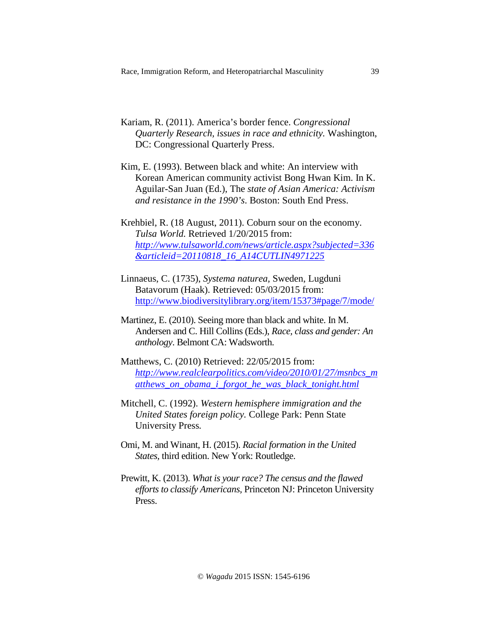- Kariam, R. (2011). America's border fence. *Congressional Quarterly Research, issues in race and ethnicity.* Washington, DC: Congressional Quarterly Press.
- Kim, E. (1993). Between black and white: An interview with Korean American community activist Bong Hwan Kim. In K. Aguilar-San Juan (Ed.), The *state of Asian America: Activism and resistance in the 1990's*. Boston: South End Press.
- Krehbiel, R. (18 August, 2011). Coburn sour on the economy. *Tulsa World.* Retrieved 1/20/2015 from: *[http://www.tulsaworld.com/news/article.aspx?subjected=336](http://www.tulsaworld.com/news/article.aspx?subjected=336&articleid=20110818_16_A14CUTLIN4971225) [&articleid=20110818\\_16\\_A14CUTLIN4971225](http://www.tulsaworld.com/news/article.aspx?subjected=336&articleid=20110818_16_A14CUTLIN4971225)*
- Linnaeus, C. (1735), *Systema naturea,* Sweden, Lugduni Batavorum (Haak). Retrieved: 05/03/2015 from: [http://www.biodiversitylibrary.org/item/15373#page/7/mode/](http://www.biodiversitylibrary.org/item/15373%23page/7/mode/)
- Martinez, E. (2010). Seeing more than black and white. In M. Andersen and C. Hill Collins (Eds.), *Race, class and gender: An anthology*. Belmont CA: Wadsworth.
- Matthews, C. (2010) Retrieved: 22/05/2015 from: *[http://www.realclearpolitics.com/video/2010/01/27/msnbcs\\_m](http://www.realclearpolitics.com/video/2010/01/27/msnbcs_matthews_on_obama_i_forgot_he_was_black_tonight.html) [atthews\\_on\\_obama\\_i\\_forgot\\_he\\_was\\_black\\_tonight.html](http://www.realclearpolitics.com/video/2010/01/27/msnbcs_matthews_on_obama_i_forgot_he_was_black_tonight.html)*
- Mitchell, C. (1992). *Western hemisphere immigration and the United States foreign policy.* College Park: Penn State University Press*.*
- Omi, M. and Winant, H. (2015). *Racial formation in the United States,* third edition. New York: Routledge.
- Prewitt, K. (2013). *What is your race? The census and the flawed efforts to classify Americans,* Princeton NJ: Princeton University Press.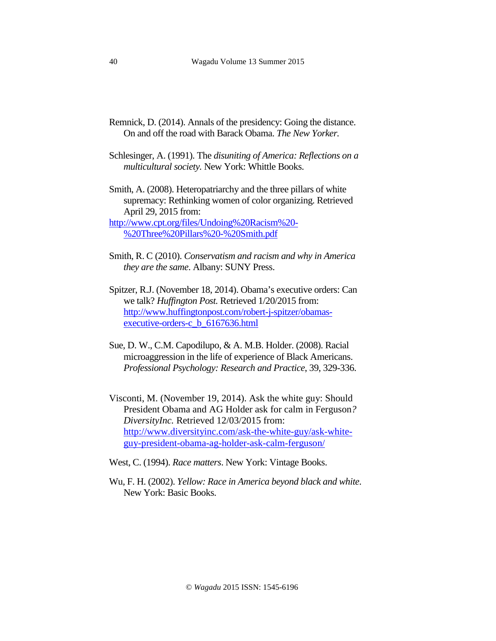- Remnick, D. (2014). Annals of the presidency: Going the distance. On and off the road with Barack Obama. *The New Yorker.*
- Schlesinger, A. (1991). The *disuniting of America: Reflections on a multicultural society.* New York: Whittle Books.
- Smith, A. (2008). Heteropatriarchy and the three pillars of white supremacy: Rethinking women of color organizing. Retrieved April 29, 2015 from:

[http://www.cpt.org/files/Undoing%20Racism%20-](http://www.cpt.org/files/Undoing%20Racism%20-%20Three%20Pillars%20-%20Smith.pdf) [%20Three%20Pillars%20-%20Smith.pdf](http://www.cpt.org/files/Undoing%20Racism%20-%20Three%20Pillars%20-%20Smith.pdf)

- Smith, R. C (2010). *Conservatism and racism and why in America they are the same*. Albany: SUNY Press.
- Spitzer, R.J. (November 18, 2014). Obama's executive orders: Can we talk? *Huffington Post.* Retrieved 1/20/2015 from: [http://www.huffingtonpost.com/robert-j-spitzer/obamas](http://www.huffingtonpost.com/robert-j-spitzer/obamas-executive-orders-c_b_6167636.html)[executive-orders-c\\_b\\_6167636.html](http://www.huffingtonpost.com/robert-j-spitzer/obamas-executive-orders-c_b_6167636.html)
- Sue, D. W., C.M. Capodilupo, & A. M.B. Holder. (2008). Racial microaggression in the life of experience of Black Americans. *Professional Psychology: Research and Practice*, 39, 329-336.
- Visconti, M. (November 19, 2014). Ask the white guy: Should President Obama and AG Holder ask for calm in Ferguson*? DiversityInc.* Retrieved 12/03/2015 from: [http://www.diversityinc.com/ask-the-white-guy/ask-white](http://www.diversityinc.com/ask-the-white-guy/ask-white-guy-president-obama-ag-holder-ask-calm-ferguson/)[guy-president-obama-ag-holder-ask-calm-ferguson/](http://www.diversityinc.com/ask-the-white-guy/ask-white-guy-president-obama-ag-holder-ask-calm-ferguson/)
- West, C. (1994). *Race matters*. New York: Vintage Books.
- Wu, F. H. (2002). *Yellow: Race in America beyond black and white*. New York: Basic Books.